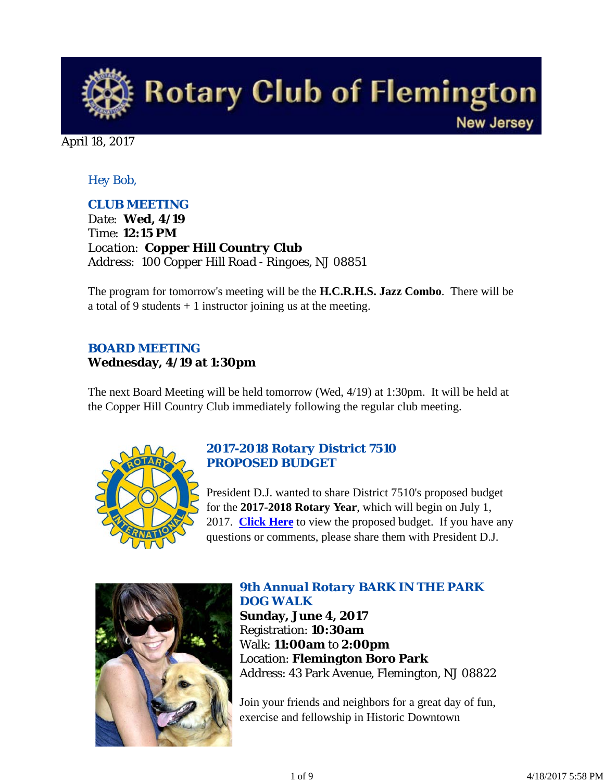

April 18, 2017

# *Hey Bob,*

# *CLUB MEETING*

*Date: Wed, 4/19 Time: 12:15 PM Location: Copper Hill Country Club Address: 100 Copper Hill Road - Ringoes, NJ 08851*

The program for tomorrow's meeting will be the **H.C.R.H.S. Jazz Combo**. There will be a total of 9 students  $+1$  instructor joining us at the meeting.

# *BOARD MEETING* **Wednesday, 4/19 at 1:30pm**

The next Board Meeting will be held tomorrow (Wed, 4/19) at 1:30pm. It will be held at the Copper Hill Country Club immediately following the regular club meeting.



# *2017-2018 Rotary District 7510 PROPOSED BUDGET*

President D.J. wanted to share District 7510's proposed budget for the **2017-2018 Rotary Year**, which will begin on July 1, 2017. **Click Here** to view the proposed budget. If you have any questions or comments, please share them with President D.J.



# *9th Annual Rotary BARK IN THE PARK DOG WALK*

**Sunday, June 4, 2017** Registration: **10:30am** Walk: **11:00am** to **2:00pm** Location: **Flemington Boro Park** Address: 43 Park Avenue, Flemington, NJ 08822

Join your friends and neighbors for a great day of fun, exercise and fellowship in Historic Downtown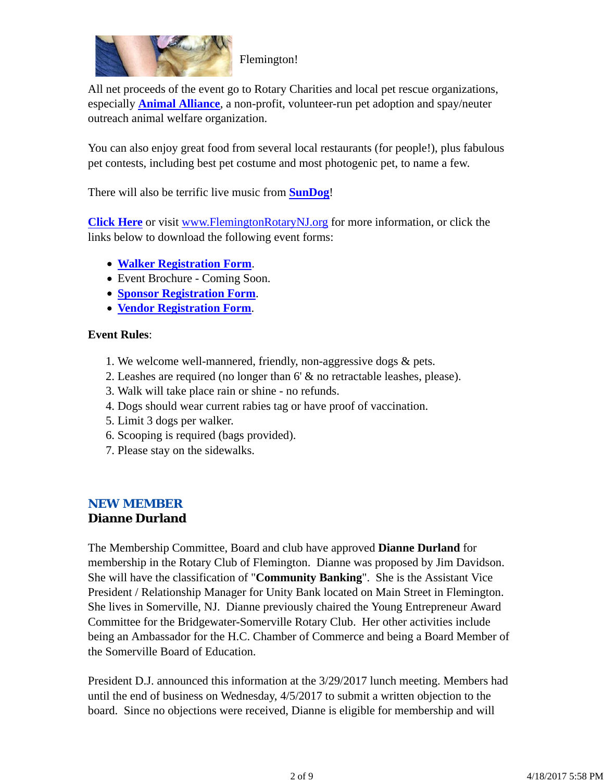

All net proceeds of the event go to Rotary Charities and local pet rescue organizations, especially **Animal Alliance**, a non-profit, volunteer-run pet adoption and spay/neuter

outreach animal welfare organization.

You can also enjoy great food from several local restaurants (for people!), plus fabulous pet contests, including best pet costume and most photogenic pet, to name a few.

There will also be terrific live music from **SunDog**!

**Click Here** or visit www.FlemingtonRotaryNJ.org for more information, or click the links below to download the following event forms:

- **Walker Registration Form**.
- Event Brochure Coming Soon.
- **Sponsor Registration Form**.
- **Vendor Registration Form**.

# **Event Rules**:

- 1. We welcome well-mannered, friendly, non-aggressive dogs & pets.
- 2. Leashes are required (no longer than 6' & no retractable leashes, please).
- 3. Walk will take place rain or shine no refunds.
- 4. Dogs should wear current rabies tag or have proof of vaccination.
- 5. Limit 3 dogs per walker.
- 6. Scooping is required (bags provided).
- 7. Please stay on the sidewalks.

# *NEW MEMBER* **Dianne Durland**

The Membership Committee, Board and club have approved **Dianne Durland** for membership in the Rotary Club of Flemington. Dianne was proposed by Jim Davidson. She will have the classification of "**Community Banking**". She is the Assistant Vice President / Relationship Manager for Unity Bank located on Main Street in Flemington. She lives in Somerville, NJ. Dianne previously chaired the Young Entrepreneur Award Committee for the Bridgewater-Somerville Rotary Club. Her other activities include being an Ambassador for the H.C. Chamber of Commerce and being a Board Member of the Somerville Board of Education.

President D.J. announced this information at the 3/29/2017 lunch meeting. Members had until the end of business on Wednesday, 4/5/2017 to submit a written objection to the board. Since no objections were received, Dianne is eligible for membership and will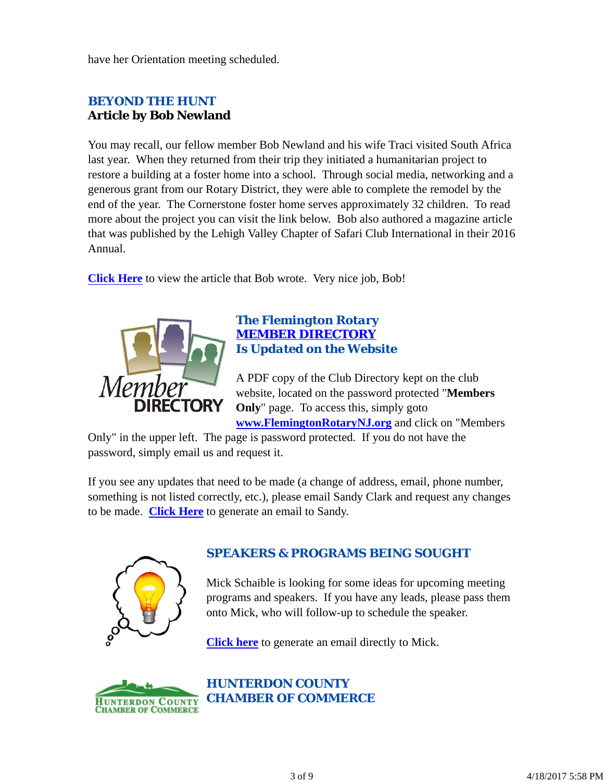have her Orientation meeting scheduled.

# *BEYOND THE HUNT* **Article by Bob Newland**

You may recall, our fellow member Bob Newland and his wife Traci visited South Africa last year. When they returned from their trip they initiated a humanitarian project to restore a building at a foster home into a school. Through social media, networking and a generous grant from our Rotary District, they were able to complete the remodel by the end of the year. The Cornerstone foster home serves approximately 32 children. To read more about the project you can visit the link below. Bob also authored a magazine article that was published by the Lehigh Valley Chapter of Safari Club International in their 2016 Annual.

**Click Here** to view the article that Bob wrote. Very nice job, Bob!



#### *The Flemington Rotary MEMBER DIRECTORY Is Updated on the Website*

A PDF copy of the Club Directory kept on the club website, located on the password protected "**Members Only**" page. To access this, simply goto **www.FlemingtonRotaryNJ.org** and click on "Members

Only" in the upper left. The page is password protected. If you do not have the password, simply email us and request it.

If you see any updates that need to be made (a change of address, email, phone number, something is not listed correctly, etc.), please email Sandy Clark and request any changes to be made. **Click Here** to generate an email to Sandy.



# *SPEAKERS & PROGRAMS BEING SOUGHT*

Mick Schaible is looking for some ideas for upcoming meeting programs and speakers. If you have any leads, please pass them onto Mick, who will follow-up to schedule the speaker.

**Click here** to generate an email directly to Mick.



*HUNTERDON COUNTY CHAMBER OF COMMERCE*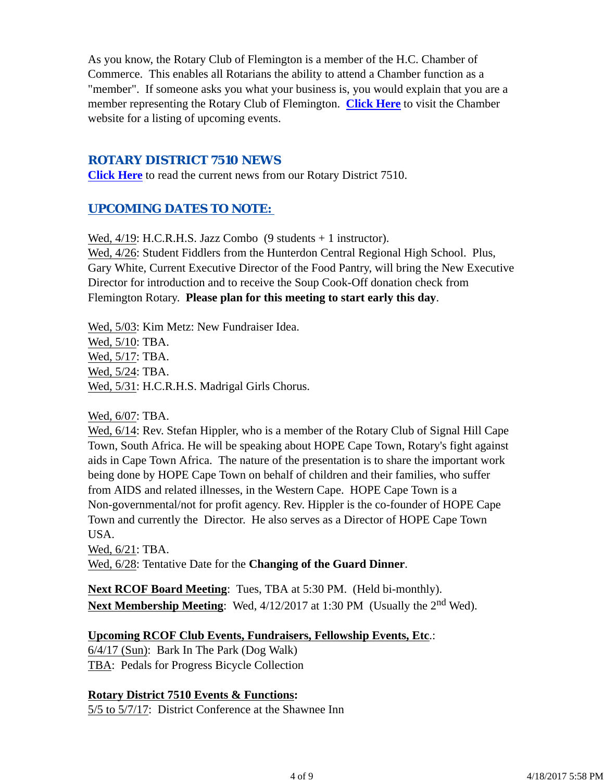As you know, the Rotary Club of Flemington is a member of the H.C. Chamber of Commerce. This enables all Rotarians the ability to attend a Chamber function as a "member". If someone asks you what your business is, you would explain that you are a member representing the Rotary Club of Flemington. **Click Here** to visit the Chamber website for a listing of upcoming events.

## *ROTARY DISTRICT 7510 NEWS*

**Click Here** to read the current news from our Rotary District 7510.

# *UPCOMING DATES TO NOTE:*

Wed,  $4/19$ : H.C.R.H.S. Jazz Combo (9 students + 1 instructor).

Wed, 4/26: Student Fiddlers from the Hunterdon Central Regional High School. Plus, Gary White, Current Executive Director of the Food Pantry, will bring the New Executive Director for introduction and to receive the Soup Cook-Off donation check from Flemington Rotary. **Please plan for this meeting to start early this day**.

Wed, 5/03: Kim Metz: New Fundraiser Idea. Wed, 5/10: TBA. Wed, 5/17: TBA. Wed, 5/24: TBA. Wed, 5/31: H.C.R.H.S. Madrigal Girls Chorus.

Wed, 6/07: TBA.

Wed, 6/14: Rev. Stefan Hippler, who is a member of the Rotary Club of Signal Hill Cape Town, South Africa. He will be speaking about HOPE Cape Town, Rotary's fight against aids in Cape Town Africa. The nature of the presentation is to share the important work being done by HOPE Cape Town on behalf of children and their families, who suffer from AIDS and related illnesses, in the Western Cape. HOPE Cape Town is a Non-governmental/not for profit agency. Rev. Hippler is the co-founder of HOPE Cape Town and currently the Director. He also serves as a Director of HOPE Cape Town USA.

Wed, 6/21: TBA. Wed, 6/28: Tentative Date for the **Changing of the Guard Dinner**.

**Next RCOF Board Meeting**: Tues, TBA at 5:30 PM. (Held bi-monthly). **Next Membership Meeting:** Wed,  $4/12/2017$  at 1:30 PM (Usually the 2<sup>nd</sup> Wed).

## **Upcoming RCOF Club Events, Fundraisers, Fellowship Events, Etc**.:

6/4/17 (Sun): Bark In The Park (Dog Walk) TBA: Pedals for Progress Bicycle Collection

## **Rotary District 7510 Events & Functions:**

5/5 to 5/7/17: District Conference at the Shawnee Inn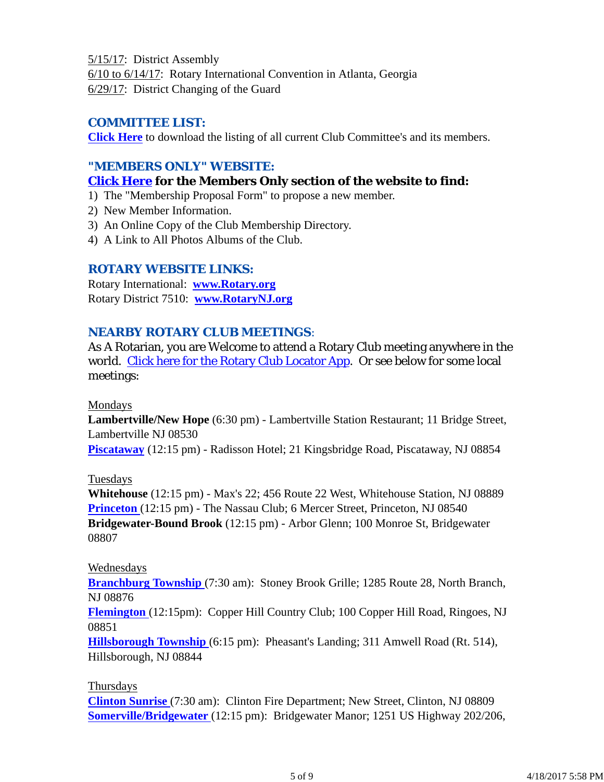5/15/17: District Assembly 6/10 to 6/14/17: Rotary International Convention in Atlanta, Georgia 6/29/17: District Changing of the Guard

# *COMMITTEE LIST:*

**Click Here** to download the listing of all current Club Committee's and its members.

# *"MEMBERS ONLY" WEBSITE:*

# **Click Here for the Members Only section of the website to find:**

- 1) The "Membership Proposal Form" to propose a new member.
- 2) New Member Information.
- 3) An Online Copy of the Club Membership Directory.
- 4) A Link to All Photos Albums of the Club.

## *ROTARY WEBSITE LINKS:*

Rotary International: **www.Rotary.org** Rotary District 7510: **www.RotaryNJ.org**

## *NEARBY ROTARY CLUB MEETINGS:*

As A Rotarian, you are Welcome to attend a Rotary Club meeting anywhere in the world. Click here for the Rotary Club Locator App. Or see below for some local meetings:

## Mondays

**Lambertville/New Hope** (6:30 pm) - Lambertville Station Restaurant; 11 Bridge Street, Lambertville NJ 08530

**Piscataway** (12:15 pm) - Radisson Hotel; 21 Kingsbridge Road, Piscataway, NJ 08854

## Tuesdays

**Whitehouse** (12:15 pm) - Max's 22; 456 Route 22 West, Whitehouse Station, NJ 08889 **Princeton** (12:15 pm) - The Nassau Club; 6 Mercer Street, Princeton, NJ 08540 **Bridgewater-Bound Brook** (12:15 pm) - Arbor Glenn; 100 Monroe St, Bridgewater 08807

## Wednesdays

**Branchburg Township** (7:30 am): Stoney Brook Grille; 1285 Route 28, North Branch, NJ 08876

**Flemington** (12:15pm): Copper Hill Country Club; 100 Copper Hill Road, Ringoes, NJ 08851

**Hillsborough Township** (6:15 pm): Pheasant's Landing; 311 Amwell Road (Rt. 514), Hillsborough, NJ 08844

## Thursdays

**Clinton Sunrise** (7:30 am): Clinton Fire Department; New Street, Clinton, NJ 08809 **Somerville/Bridgewater** (12:15 pm): Bridgewater Manor; 1251 US Highway 202/206,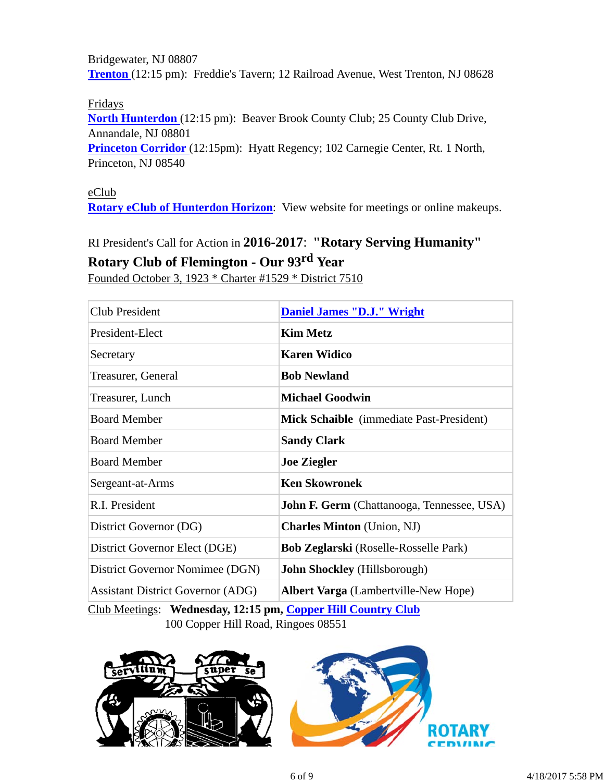Bridgewater, NJ 08807 **Trenton** (12:15 pm): Freddie's Tavern; 12 Railroad Avenue, West Trenton, NJ 08628

Fridays

**North Hunterdon** (12:15 pm): Beaver Brook County Club; 25 County Club Drive, Annandale, NJ 08801

**Princeton Corridor** (12:15pm): Hyatt Regency; 102 Carnegie Center, Rt. 1 North, Princeton, NJ 08540

#### eClub

**Rotary eClub of Hunterdon Horizon**: View website for meetings or online makeups.

# RI President's Call for Action in **2016-2017**: **"Rotary Serving Humanity" Rotary Club of Flemington - Our 93rd Year**

Founded October 3, 1923 \* Charter #1529 \* District 7510

| <b>Club President</b>                    | <b>Daniel James "D.J." Wright</b>                 |
|------------------------------------------|---------------------------------------------------|
| President-Elect                          | <b>Kim Metz</b>                                   |
| Secretary                                | <b>Karen Widico</b>                               |
| Treasurer, General                       | <b>Bob Newland</b>                                |
| Treasurer, Lunch                         | <b>Michael Goodwin</b>                            |
| <b>Board Member</b>                      | Mick Schaible (immediate Past-President)          |
| <b>Board Member</b>                      | <b>Sandy Clark</b>                                |
| <b>Board Member</b>                      | <b>Joe Ziegler</b>                                |
| Sergeant-at-Arms                         | <b>Ken Skowronek</b>                              |
| R.I. President                           | <b>John F. Germ</b> (Chattanooga, Tennessee, USA) |
| District Governor (DG)                   | <b>Charles Minton</b> (Union, NJ)                 |
| District Governor Elect (DGE)            | <b>Bob Zeglarski</b> (Roselle-Rosselle Park)      |
| District Governor Nomimee (DGN)          | <b>John Shockley</b> (Hillsborough)               |
| <b>Assistant District Governor (ADG)</b> | Albert Varga (Lambertville-New Hope)              |

Club Meetings: **Wednesday, 12:15 pm, Copper Hill Country Club** 100 Copper Hill Road, Ringoes 08551

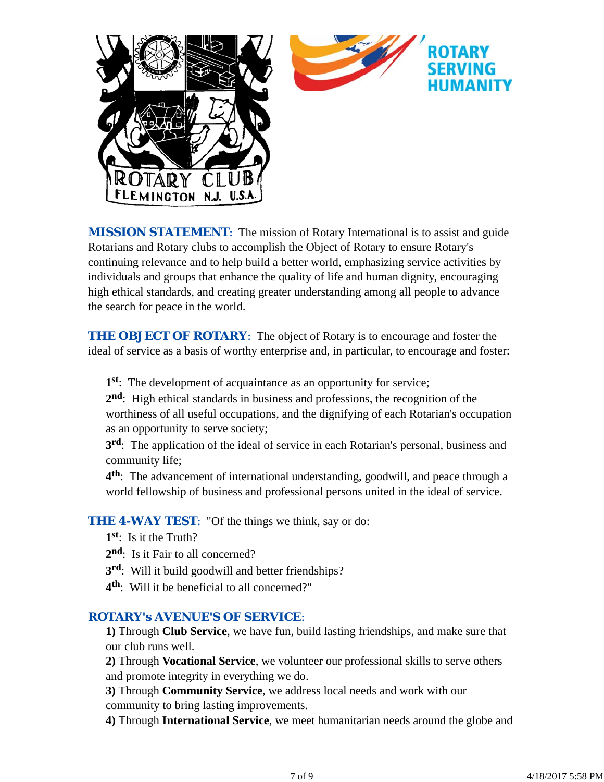

*MISSION STATEMENT*: The mission of Rotary International is to assist and guide Rotarians and Rotary clubs to accomplish the Object of Rotary to ensure Rotary's continuing relevance and to help build a better world, emphasizing service activities by individuals and groups that enhance the quality of life and human dignity, encouraging high ethical standards, and creating greater understanding among all people to advance the search for peace in the world.

**THE OBJECT OF ROTARY:** The object of Rotary is to encourage and foster the ideal of service as a basis of worthy enterprise and, in particular, to encourage and foster:

**1st**: The development of acquaintance as an opportunity for service;

**2nd**: High ethical standards in business and professions, the recognition of the worthiness of all useful occupations, and the dignifying of each Rotarian's occupation as an opportunity to serve society;

**3rd**: The application of the ideal of service in each Rotarian's personal, business and community life;

**4th**: The advancement of international understanding, goodwill, and peace through a world fellowship of business and professional persons united in the ideal of service.

**THE 4-WAY TEST:** "Of the things we think, say or do:

- **1st**: Is it the Truth?
- 2<sup>nd</sup>: Is it Fair to all concerned?
- **3rd**: Will it build goodwill and better friendships?
- **4th**: Will it be beneficial to all concerned?"

## *ROTARY's AVENUE'S OF SERVICE*:

**1)** Through **Club Service**, we have fun, build lasting friendships, and make sure that our club runs well.

**2)** Through **Vocational Service**, we volunteer our professional skills to serve others and promote integrity in everything we do.

**3)** Through **Community Service**, we address local needs and work with our community to bring lasting improvements.

**4)** Through **International Service**, we meet humanitarian needs around the globe and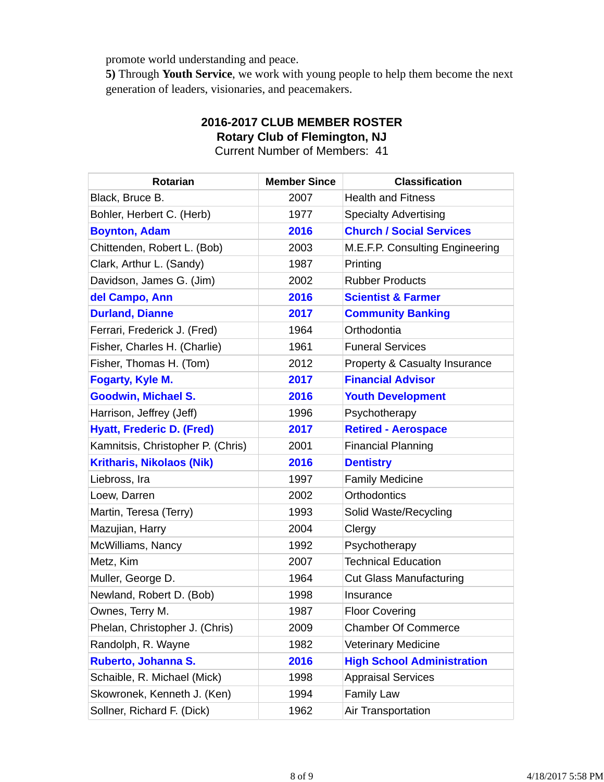promote world understanding and peace.

**5)** Through **Youth Service**, we work with young people to help them become the next generation of leaders, visionaries, and peacemakers.

# **2016-2017 CLUB MEMBER ROSTER Rotary Club of Flemington, NJ**

Current Number of Members: 41

| <b>Rotarian</b>                   | <b>Member Since</b> | <b>Classification</b>             |
|-----------------------------------|---------------------|-----------------------------------|
| Black, Bruce B.                   | 2007                | <b>Health and Fitness</b>         |
| Bohler, Herbert C. (Herb)         | 1977                | <b>Specialty Advertising</b>      |
| <b>Boynton, Adam</b>              | 2016                | <b>Church / Social Services</b>   |
| Chittenden, Robert L. (Bob)       | 2003                | M.E.F.P. Consulting Engineering   |
| Clark, Arthur L. (Sandy)          | 1987                | Printing                          |
| Davidson, James G. (Jim)          | 2002                | <b>Rubber Products</b>            |
| del Campo, Ann                    | 2016                | <b>Scientist &amp; Farmer</b>     |
| <b>Durland, Dianne</b>            | 2017                | <b>Community Banking</b>          |
| Ferrari, Frederick J. (Fred)      | 1964                | Orthodontia                       |
| Fisher, Charles H. (Charlie)      | 1961                | <b>Funeral Services</b>           |
| Fisher, Thomas H. (Tom)           | 2012                | Property & Casualty Insurance     |
| Fogarty, Kyle M.                  | 2017                | <b>Financial Advisor</b>          |
| <b>Goodwin, Michael S.</b>        | 2016                | <b>Youth Development</b>          |
| Harrison, Jeffrey (Jeff)          | 1996                | Psychotherapy                     |
| <b>Hyatt, Frederic D. (Fred)</b>  | 2017                | <b>Retired - Aerospace</b>        |
| Kamnitsis, Christopher P. (Chris) | 2001                | <b>Financial Planning</b>         |
| <b>Kritharis, Nikolaos (Nik)</b>  | 2016                | <b>Dentistry</b>                  |
| Liebross, Ira                     | 1997                | <b>Family Medicine</b>            |
| Loew, Darren                      | 2002                | <b>Orthodontics</b>               |
| Martin, Teresa (Terry)            | 1993                | Solid Waste/Recycling             |
| Mazujian, Harry                   | 2004                | Clergy                            |
| McWilliams, Nancy                 | 1992                | Psychotherapy                     |
| Metz, Kim                         | 2007                | <b>Technical Education</b>        |
| Muller, George D.                 | 1964                | <b>Cut Glass Manufacturing</b>    |
| Newland, Robert D. (Bob)          | 1998                | Insurance                         |
| Ownes, Terry M.                   | 1987                | <b>Floor Covering</b>             |
| Phelan, Christopher J. (Chris)    | 2009                | <b>Chamber Of Commerce</b>        |
| Randolph, R. Wayne                | 1982                | <b>Veterinary Medicine</b>        |
| Ruberto, Johanna S.               | 2016                | <b>High School Administration</b> |
| Schaible, R. Michael (Mick)       | 1998                | <b>Appraisal Services</b>         |
| Skowronek, Kenneth J. (Ken)       | 1994                | <b>Family Law</b>                 |
| Sollner, Richard F. (Dick)        | 1962                | Air Transportation                |